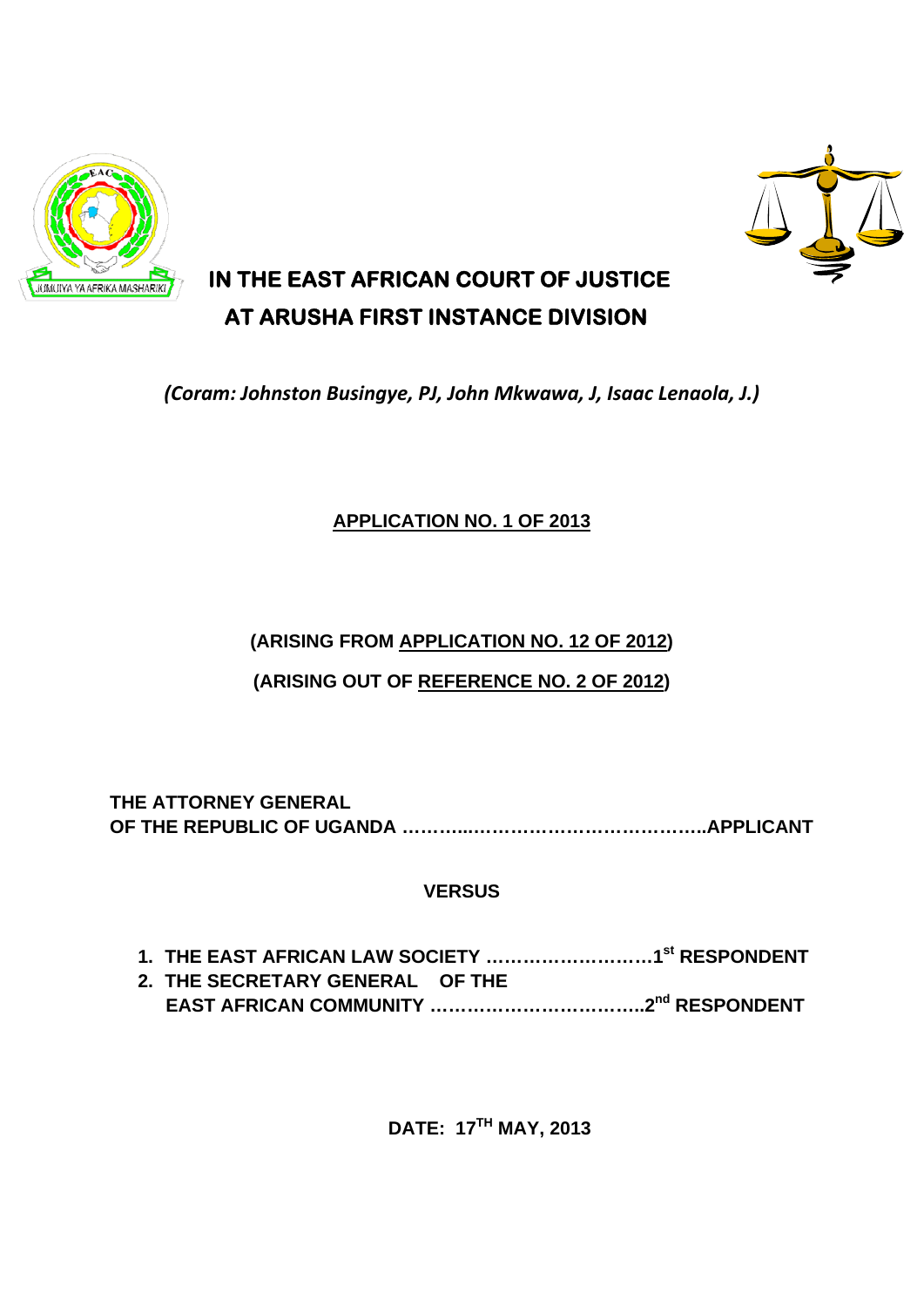



## **IN THE EAST AFRICAN COURT OF JUSTICE AT ARUSHA FIRST INSTANCE DIVISION**

*(Coram: Johnston Busingye, PJ, John Mkwawa, J, Isaac Lenaola, J.)*

## **APPLICATION NO. 1 OF 2013**

## **(ARISING FROM APPLICATION NO. 12 OF 2012)**

**(ARISING OUT OF REFERENCE NO. 2 OF 2012)** 

**THE ATTORNEY GENERAL OF THE REPUBLIC OF UGANDA ………...………………………………..APPLICANT** 

## **VERSUS**

| 2. THE SECRETARY GENERAL OF THE |  |
|---------------------------------|--|
|                                 |  |

**DATE: 17TH MAY, 2013**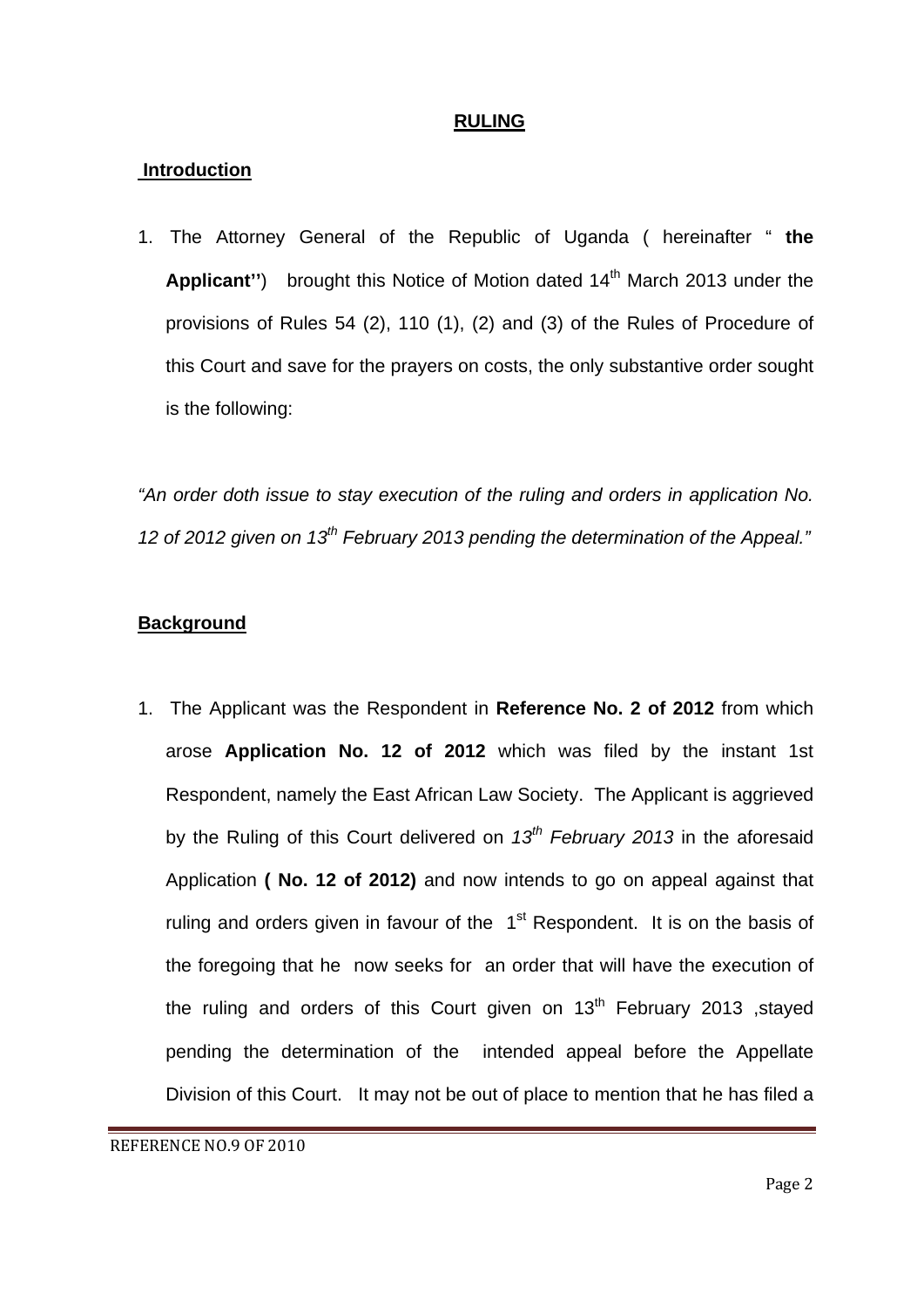#### **RULING**

#### **Introduction**

1. The Attorney General of the Republic of Uganda ( hereinafter " **the Applicant''**) brought this Notice of Motion dated 14<sup>th</sup> March 2013 under the provisions of Rules 54 (2), 110 (1), (2) and (3) of the Rules of Procedure of this Court and save for the prayers on costs, the only substantive order sought is the following:

*"An order doth issue to stay execution of the ruling and orders in application No. 12 of 2012 given on 13th February 2013 pending the determination of the Appeal."* 

#### **Background**

1. The Applicant was the Respondent in **Reference No. 2 of 2012** from which arose **Application No. 12 of 2012** which was filed by the instant 1st Respondent, namely the East African Law Society. The Applicant is aggrieved by the Ruling of this Court delivered on *13th February 2013* in the aforesaid Application **( No. 12 of 2012)** and now intends to go on appeal against that ruling and orders given in favour of the  $1<sup>st</sup>$  Respondent. It is on the basis of the foregoing that he now seeks for an order that will have the execution of the ruling and orders of this Court given on  $13<sup>th</sup>$  February 2013 , stayed pending the determination of the intended appeal before the Appellate Division of this Court. It may not be out of place to mention that he has filed a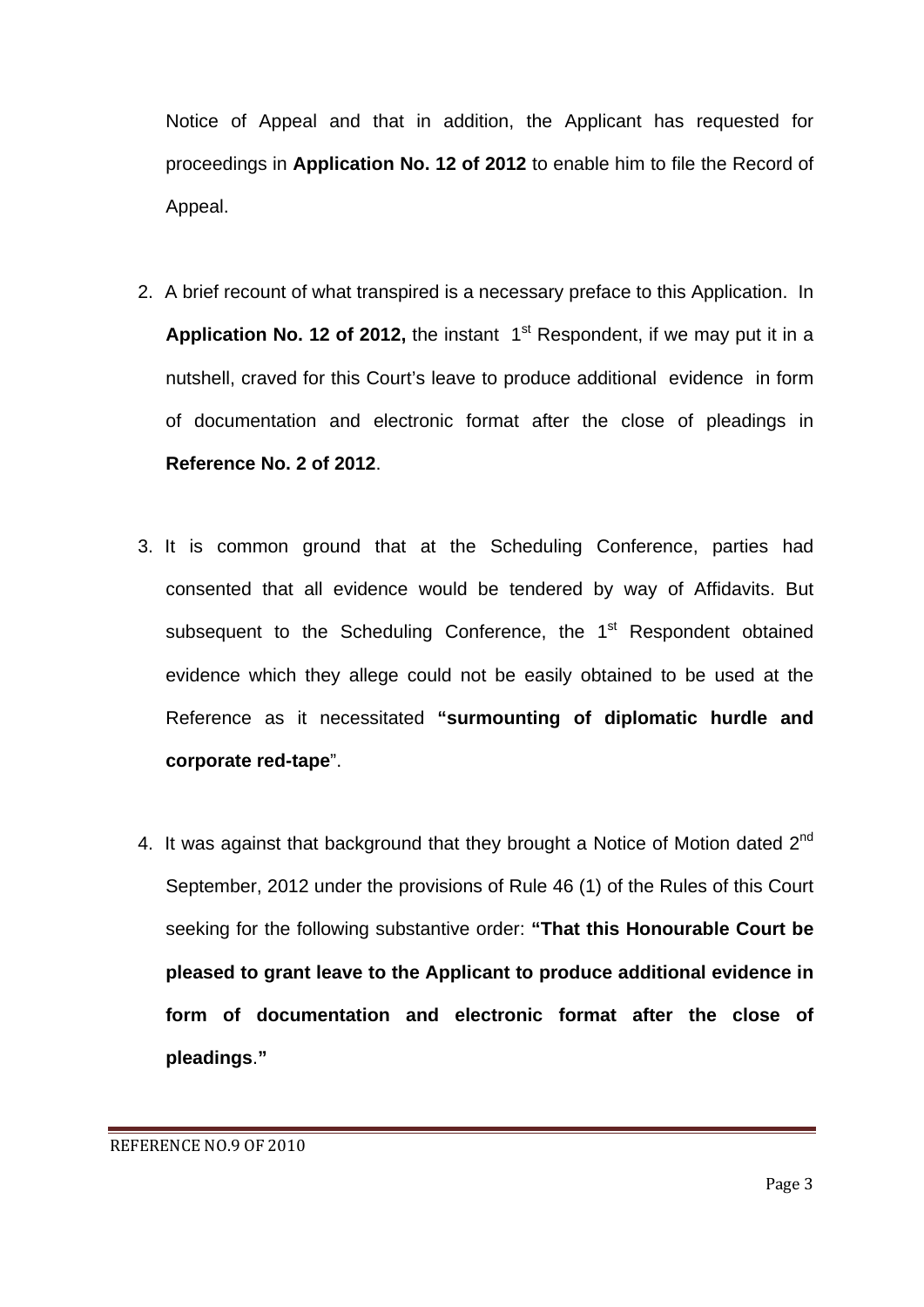Notice of Appeal and that in addition, the Applicant has requested for proceedings in **Application No. 12 of 2012** to enable him to file the Record of Appeal.

- 2. A brief recount of what transpired is a necessary preface to this Application. In **Application No. 12 of 2012, the instant 1<sup>st</sup> Respondent, if we may put it in a** nutshell, craved for this Court's leave to produce additional evidence in form of documentation and electronic format after the close of pleadings in **Reference No. 2 of 2012**.
- 3. It is common ground that at the Scheduling Conference, parties had consented that all evidence would be tendered by way of Affidavits. But subsequent to the Scheduling Conference, the 1<sup>st</sup> Respondent obtained evidence which they allege could not be easily obtained to be used at the Reference as it necessitated **"surmounting of diplomatic hurdle and corporate red-tape**".
- 4. It was against that background that they brought a Notice of Motion dated 2<sup>nd</sup> September, 2012 under the provisions of Rule 46 (1) of the Rules of this Court seeking for the following substantive order: **"That this Honourable Court be pleased to grant leave to the Applicant to produce additional evidence in form of documentation and electronic format after the close of pleadings**.**"**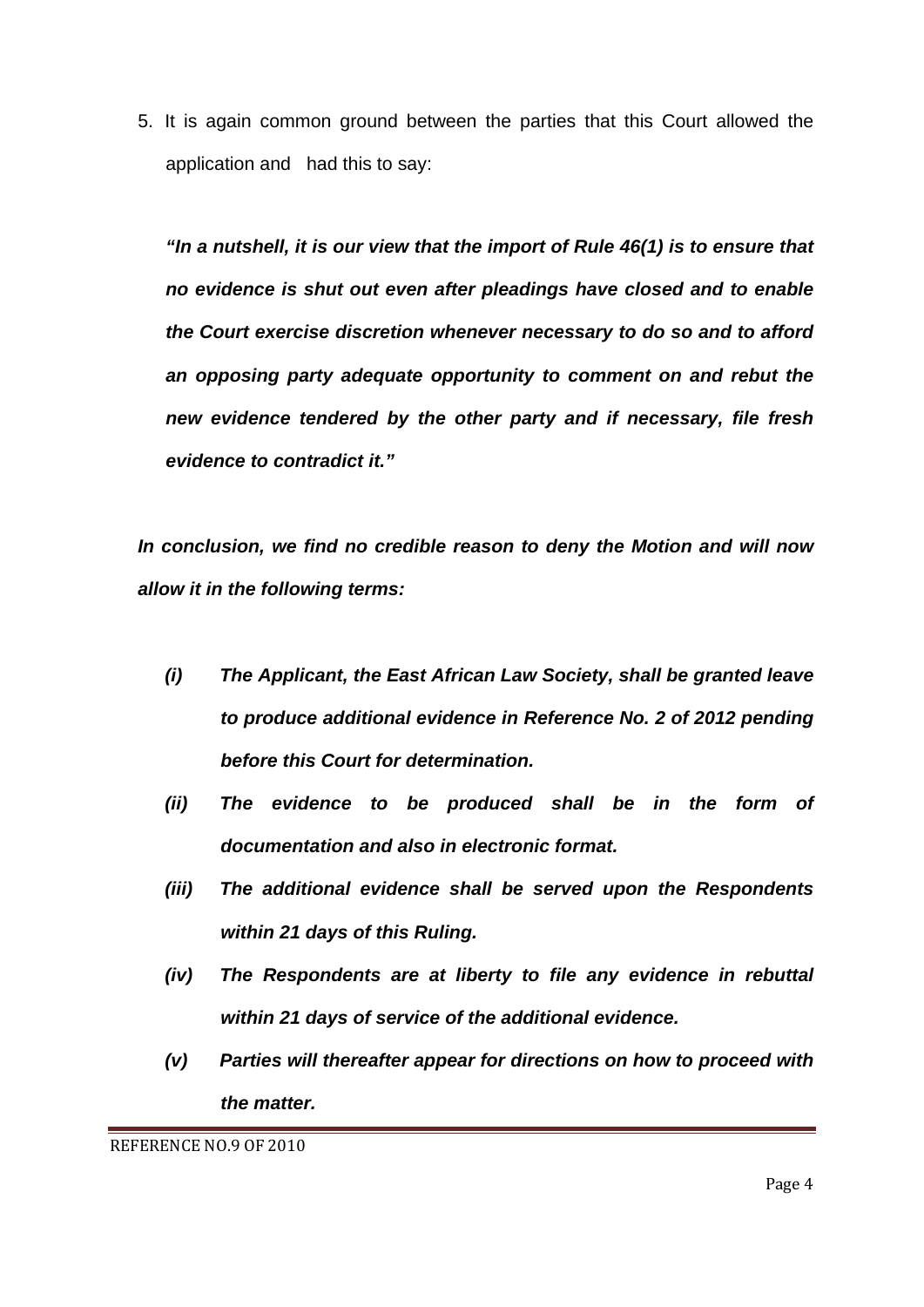5. It is again common ground between the parties that this Court allowed the application and had this to say:

*"In a nutshell, it is our view that the import of Rule 46(1) is to ensure that no evidence is shut out even after pleadings have closed and to enable the Court exercise discretion whenever necessary to do so and to afford an opposing party adequate opportunity to comment on and rebut the new evidence tendered by the other party and if necessary, file fresh evidence to contradict it."* 

*In conclusion, we find no credible reason to deny the Motion and will now allow it in the following terms:* 

- *(i) The Applicant, the East African Law Society, shall be granted leave to produce additional evidence in Reference No. 2 of 2012 pending before this Court for determination.*
- *(ii) The evidence to be produced shall be in the form of documentation and also in electronic format.*
- *(iii) The additional evidence shall be served upon the Respondents within 21 days of this Ruling.*
- *(iv) The Respondents are at liberty to file any evidence in rebuttal within 21 days of service of the additional evidence.*
- *(v) Parties will thereafter appear for directions on how to proceed with the matter.*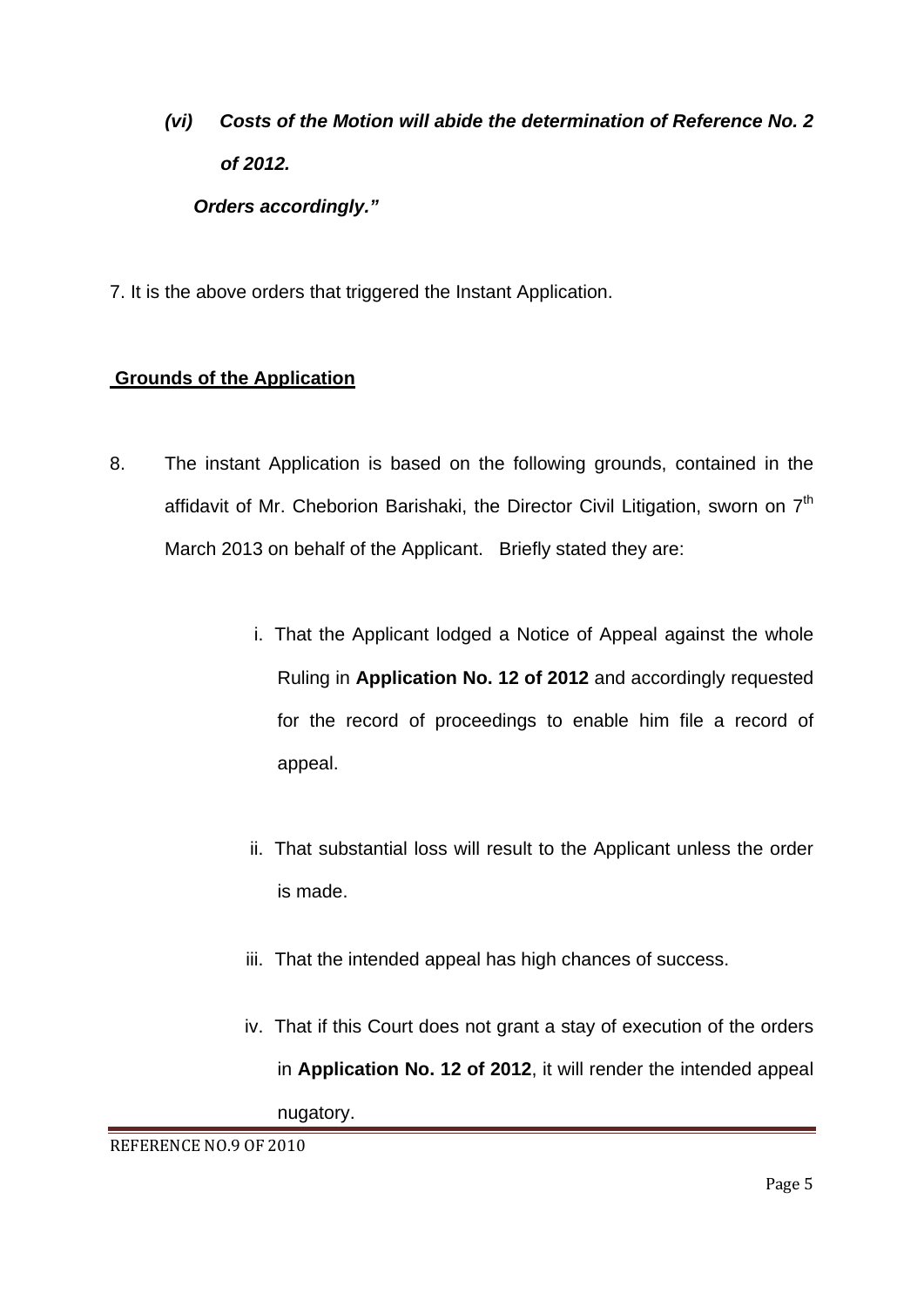# *(vi) Costs of the Motion will abide the determination of Reference No. 2 of 2012. Orders accordingly."*

7. It is the above orders that triggered the Instant Application.

### **Grounds of the Application**

- 8. The instant Application is based on the following grounds, contained in the affidavit of Mr. Cheborion Barishaki, the Director Civil Litigation, sworn on 7<sup>th</sup> March 2013 on behalf of the Applicant. Briefly stated they are:
	- i. That the Applicant lodged a Notice of Appeal against the whole Ruling in **Application No. 12 of 2012** and accordingly requested for the record of proceedings to enable him file a record of appeal.
	- ii. That substantial loss will result to the Applicant unless the order is made.
	- iii. That the intended appeal has high chances of success.
	- iv. That if this Court does not grant a stay of execution of the orders in **Application No. 12 of 2012**, it will render the intended appeal nugatory.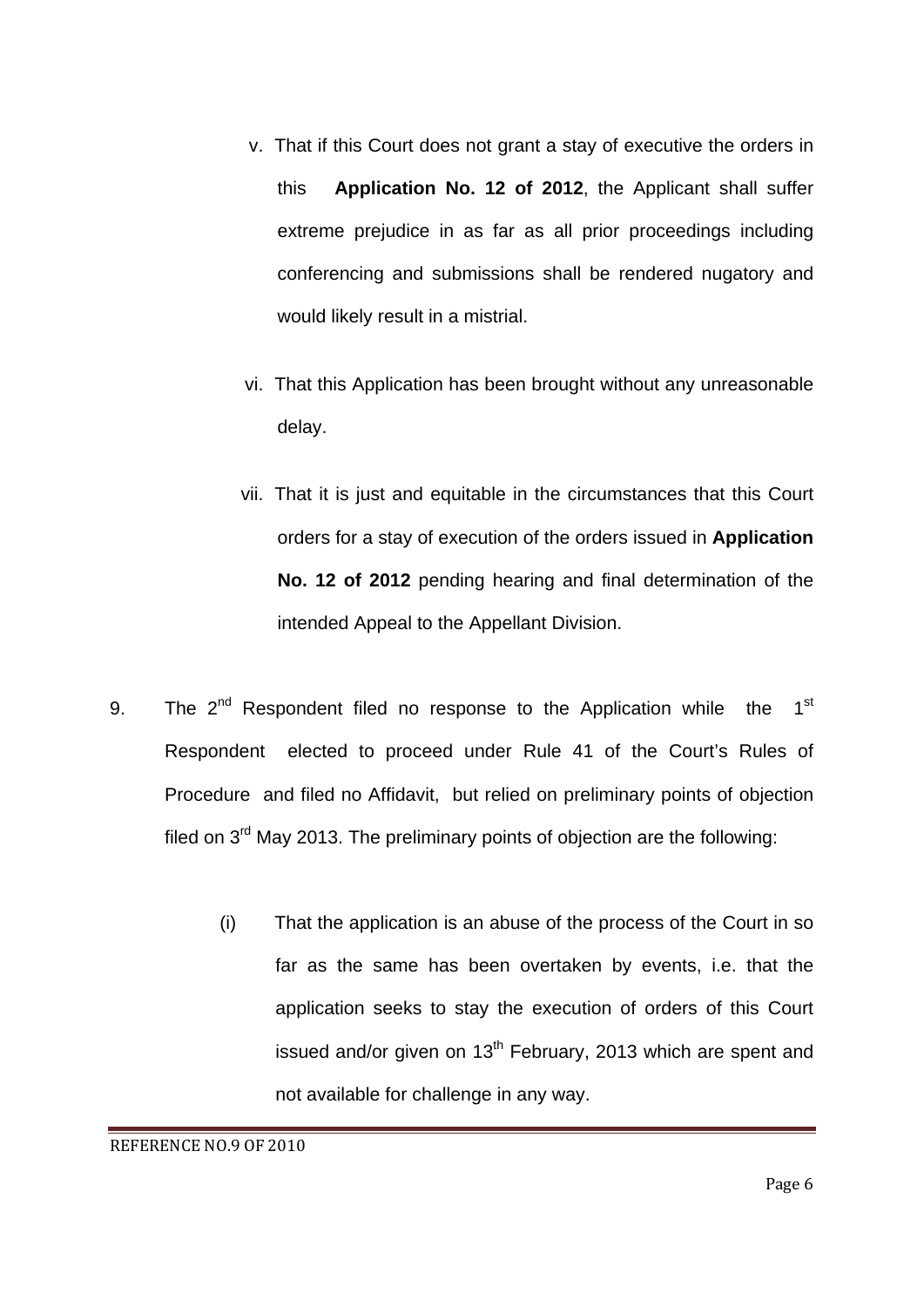- v. That if this Court does not grant a stay of executive the orders in this **Application No. 12 of 2012**, the Applicant shall suffer extreme prejudice in as far as all prior proceedings including conferencing and submissions shall be rendered nugatory and would likely result in a mistrial.
- vi. That this Application has been brought without any unreasonable delay.
- vii. That it is just and equitable in the circumstances that this Court orders for a stay of execution of the orders issued in **Application No. 12 of 2012** pending hearing and final determination of the intended Appeal to the Appellant Division.
- 9. The  $2^{nd}$  Respondent filed no response to the Application while the  $1^{st}$ Respondent elected to proceed under Rule 41 of the Court's Rules of Procedure and filed no Affidavit, but relied on preliminary points of objection filed on 3<sup>rd</sup> May 2013. The preliminary points of objection are the following:
	- (i) That the application is an abuse of the process of the Court in so far as the same has been overtaken by events, i.e. that the application seeks to stay the execution of orders of this Court issued and/or given on  $13<sup>th</sup>$  February, 2013 which are spent and not available for challenge in any way.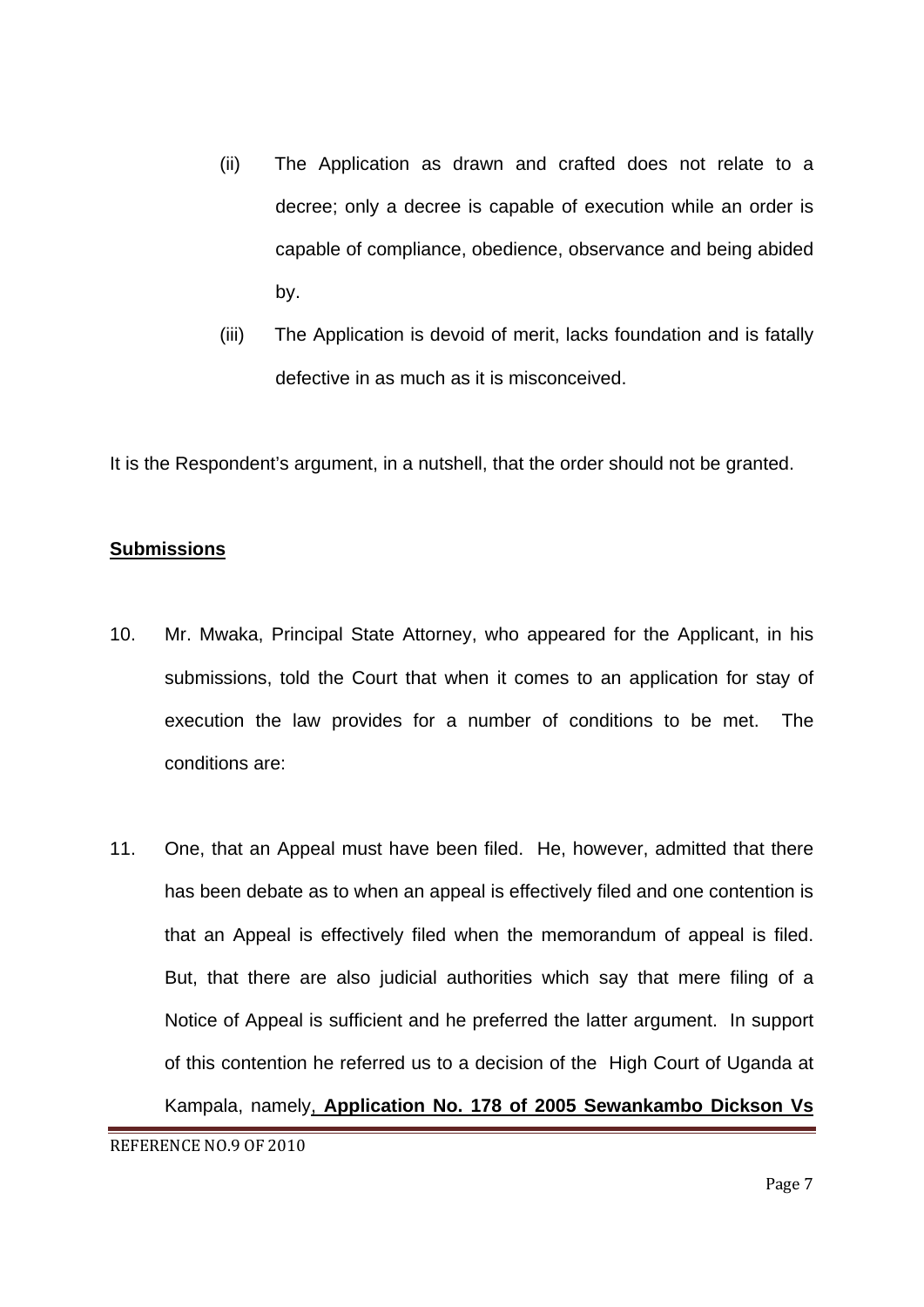- (ii) The Application as drawn and crafted does not relate to a decree; only a decree is capable of execution while an order is capable of compliance, obedience, observance and being abided by.
- (iii) The Application is devoid of merit, lacks foundation and is fatally defective in as much as it is misconceived.

It is the Respondent's argument, in a nutshell, that the order should not be granted.

#### **Submissions**

- 10. Mr. Mwaka, Principal State Attorney, who appeared for the Applicant, in his submissions, told the Court that when it comes to an application for stay of execution the law provides for a number of conditions to be met. The conditions are:
- 11. One, that an Appeal must have been filed. He, however, admitted that there has been debate as to when an appeal is effectively filed and one contention is that an Appeal is effectively filed when the memorandum of appeal is filed. But, that there are also judicial authorities which say that mere filing of a Notice of Appeal is sufficient and he preferred the latter argument. In support of this contention he referred us to a decision of the High Court of Uganda at Kampala, namely, **Application No. 178 of 2005 Sewankambo Dickson Vs**

REFERENCE NO.9 OF 2010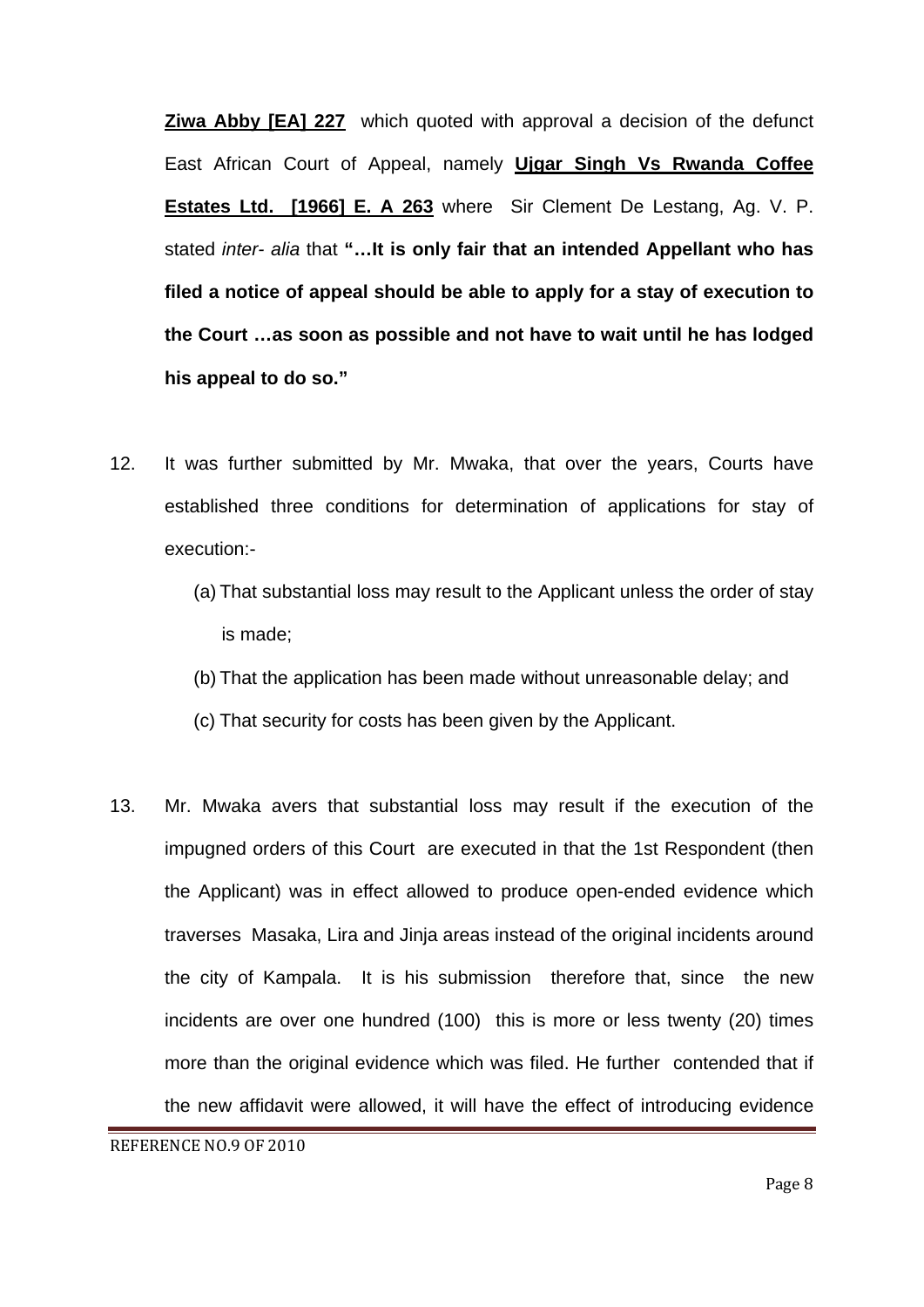**Ziwa Abby [EA] 227** which quoted with approval a decision of the defunct East African Court of Appeal, namely **Ujgar Singh Vs Rwanda Coffee Estates Ltd. [1966] E. A 263** where Sir Clement De Lestang, Ag. V. P. stated *inter- alia* that **"…It is only fair that an intended Appellant who has filed a notice of appeal should be able to apply for a stay of execution to the Court …as soon as possible and not have to wait until he has lodged his appeal to do so."** 

- 12. It was further submitted by Mr. Mwaka, that over the years, Courts have established three conditions for determination of applications for stay of execution:-
	- (a) That substantial loss may result to the Applicant unless the order of stay is made;
	- (b) That the application has been made without unreasonable delay; and
	- (c) That security for costs has been given by the Applicant.
- 13. Mr. Mwaka avers that substantial loss may result if the execution of the impugned orders of this Court are executed in that the 1st Respondent (then the Applicant) was in effect allowed to produce open-ended evidence which traverses Masaka, Lira and Jinja areas instead of the original incidents around the city of Kampala. It is his submission therefore that, since the new incidents are over one hundred (100) this is more or less twenty (20) times more than the original evidence which was filed. He further contended that if the new affidavit were allowed, it will have the effect of introducing evidence

REFERENCE NO.9 OF 2010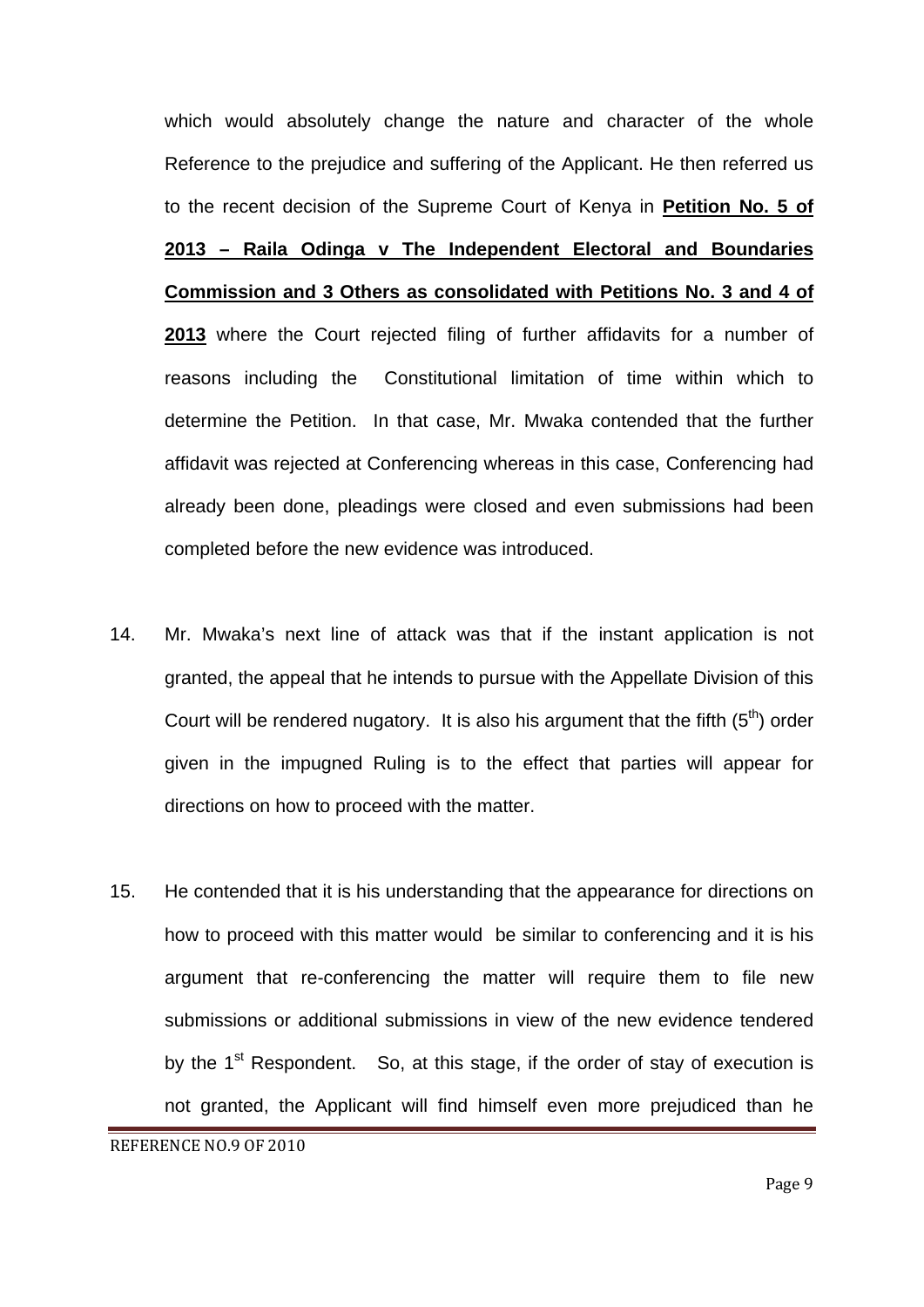which would absolutely change the nature and character of the whole Reference to the prejudice and suffering of the Applicant. He then referred us to the recent decision of the Supreme Court of Kenya in **Petition No. 5 of 2013 – Raila Odinga v The Independent Electoral and Boundaries Commission and 3 Others as consolidated with Petitions No. 3 and 4 of 2013** where the Court rejected filing of further affidavits for a number of reasons including the Constitutional limitation of time within which to determine the Petition. In that case, Mr. Mwaka contended that the further affidavit was rejected at Conferencing whereas in this case, Conferencing had already been done, pleadings were closed and even submissions had been completed before the new evidence was introduced.

- 14. Mr. Mwaka's next line of attack was that if the instant application is not granted, the appeal that he intends to pursue with the Appellate Division of this Court will be rendered nugatory. It is also his argument that the fifth  $(5<sup>th</sup>)$  order given in the impugned Ruling is to the effect that parties will appear for directions on how to proceed with the matter.
- 15. He contended that it is his understanding that the appearance for directions on how to proceed with this matter would be similar to conferencing and it is his argument that re-conferencing the matter will require them to file new submissions or additional submissions in view of the new evidence tendered by the  $1<sup>st</sup>$  Respondent. So, at this stage, if the order of stay of execution is not granted, the Applicant will find himself even more prejudiced than he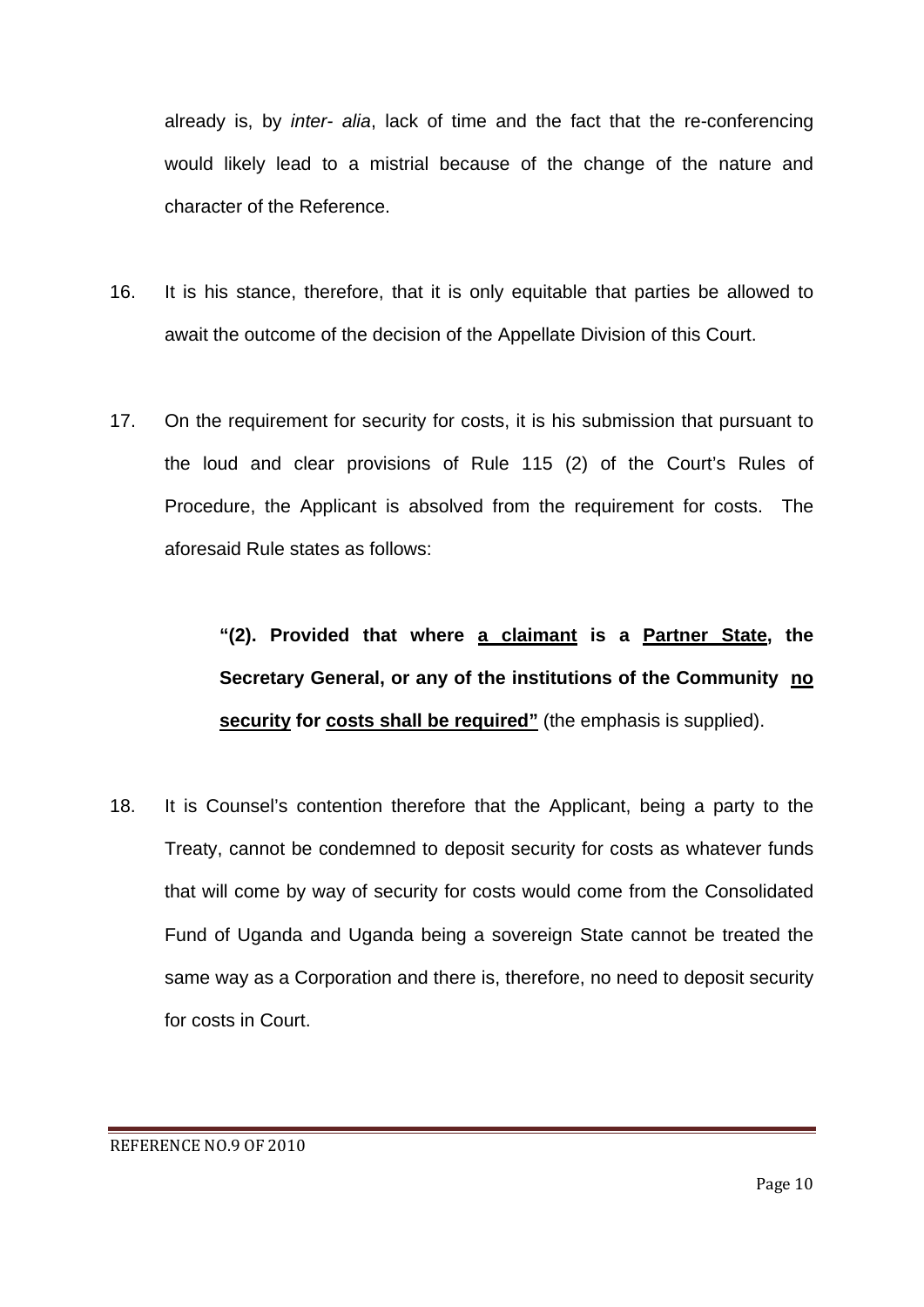already is, by *inter- alia*, lack of time and the fact that the re-conferencing would likely lead to a mistrial because of the change of the nature and character of the Reference.

- 16. It is his stance, therefore, that it is only equitable that parties be allowed to await the outcome of the decision of the Appellate Division of this Court.
- 17. On the requirement for security for costs, it is his submission that pursuant to the loud and clear provisions of Rule 115 (2) of the Court's Rules of Procedure, the Applicant is absolved from the requirement for costs. The aforesaid Rule states as follows:

**"(2). Provided that where a claimant is a Partner State, the Secretary General, or any of the institutions of the Community no security for costs shall be required"** (the emphasis is supplied).

18. It is Counsel's contention therefore that the Applicant, being a party to the Treaty, cannot be condemned to deposit security for costs as whatever funds that will come by way of security for costs would come from the Consolidated Fund of Uganda and Uganda being a sovereign State cannot be treated the same way as a Corporation and there is, therefore, no need to deposit security for costs in Court.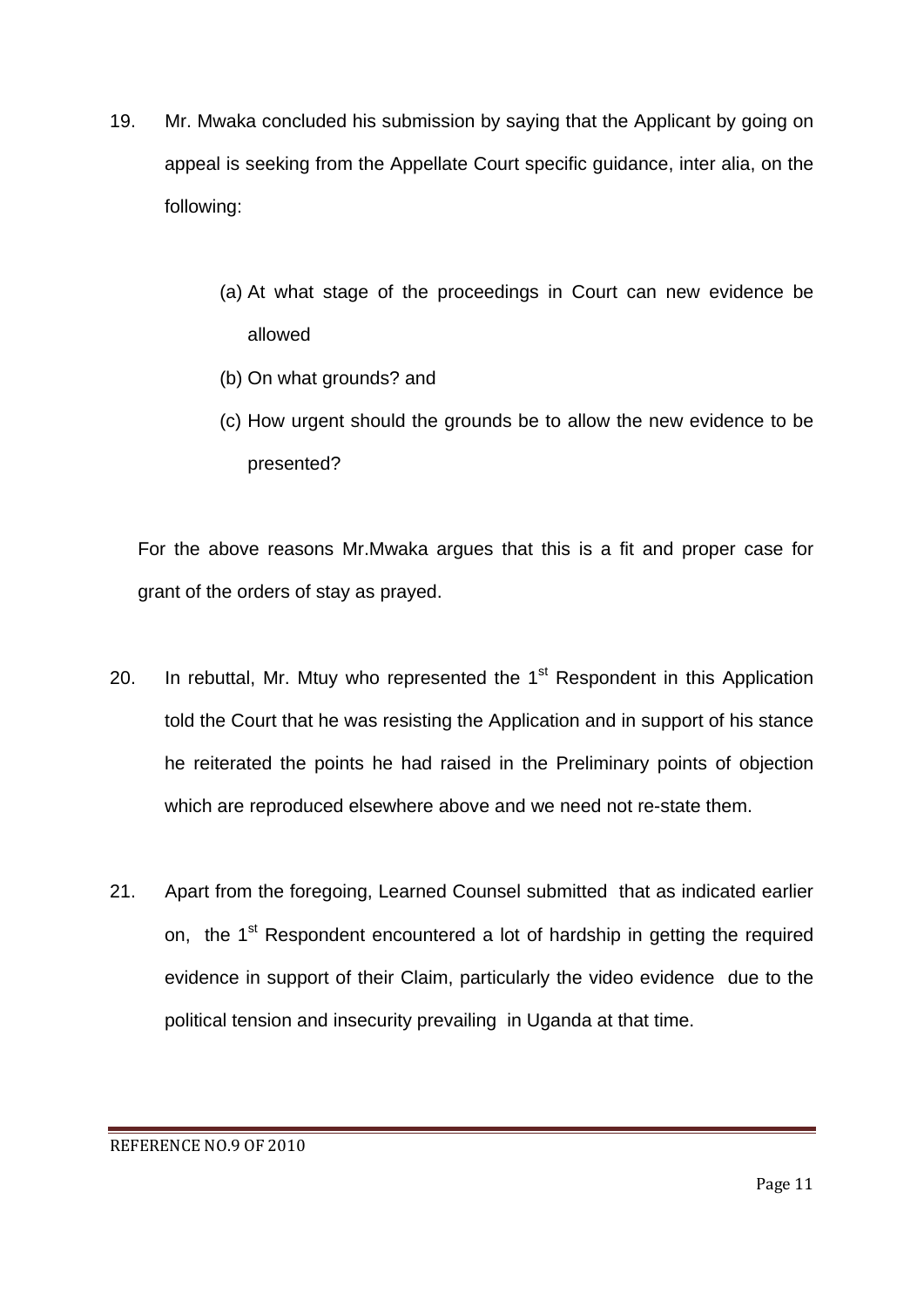- 19. Mr. Mwaka concluded his submission by saying that the Applicant by going on appeal is seeking from the Appellate Court specific guidance, inter alia, on the following:
	- (a) At what stage of the proceedings in Court can new evidence be allowed
	- (b) On what grounds? and
	- (c) How urgent should the grounds be to allow the new evidence to be presented?

For the above reasons Mr.Mwaka argues that this is a fit and proper case for grant of the orders of stay as prayed.

- 20. In rebuttal, Mr. Mtuy who represented the  $1<sup>st</sup>$  Respondent in this Application told the Court that he was resisting the Application and in support of his stance he reiterated the points he had raised in the Preliminary points of objection which are reproduced elsewhere above and we need not re-state them.
- 21. Apart from the foregoing, Learned Counsel submitted that as indicated earlier on, the 1<sup>st</sup> Respondent encountered a lot of hardship in getting the required evidence in support of their Claim, particularly the video evidence due to the political tension and insecurity prevailing in Uganda at that time.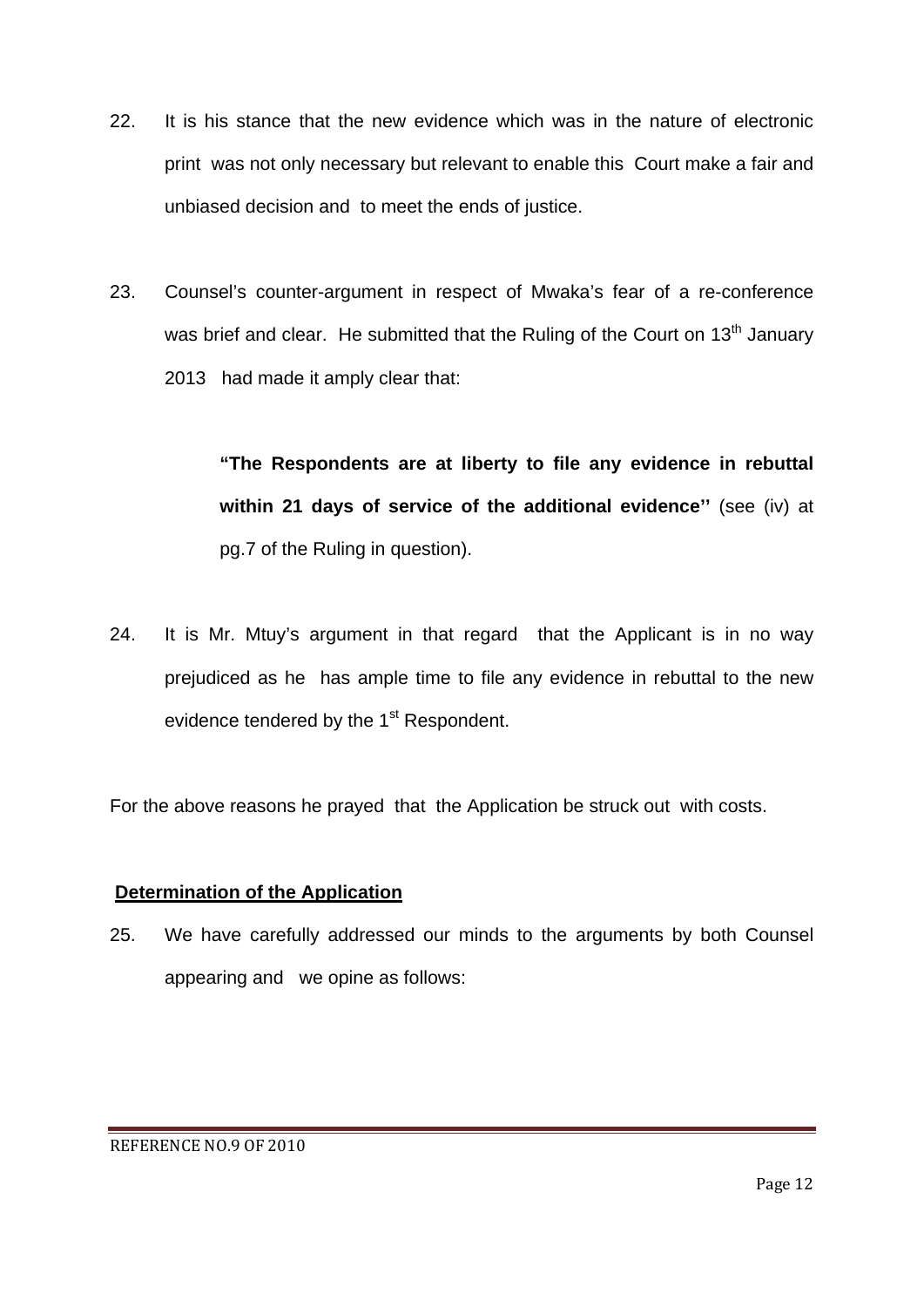- 22. It is his stance that the new evidence which was in the nature of electronic print was not only necessary but relevant to enable this Court make a fair and unbiased decision and to meet the ends of justice.
- 23. Counsel's counter-argument in respect of Mwaka's fear of a re-conference was brief and clear. He submitted that the Ruling of the Court on  $13<sup>th</sup>$  January 2013 had made it amply clear that:

**"The Respondents are at liberty to file any evidence in rebuttal within 21 days of service of the additional evidence''** (see (iv) at pg.7 of the Ruling in question).

24. It is Mr. Mtuy's argument in that regard that the Applicant is in no way prejudiced as he has ample time to file any evidence in rebuttal to the new evidence tendered by the 1<sup>st</sup> Respondent.

For the above reasons he prayed that the Application be struck out with costs.

## **Determination of the Application**

25. We have carefully addressed our minds to the arguments by both Counsel appearing and we opine as follows: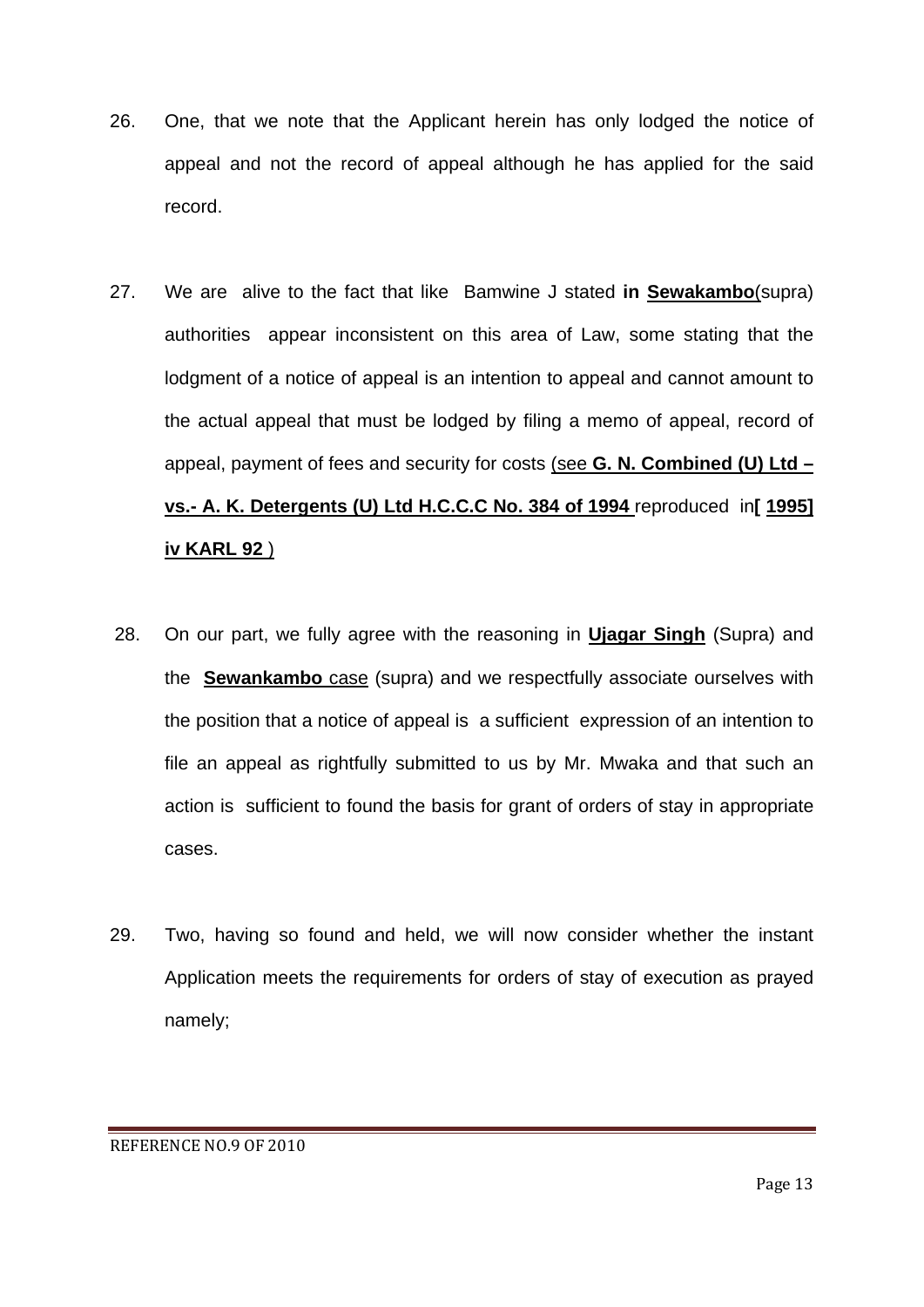- 26. One, that we note that the Applicant herein has only lodged the notice of appeal and not the record of appeal although he has applied for the said record.
- 27. We are alive to the fact that like Bamwine J stated **in Sewakambo**(supra) authorities appear inconsistent on this area of Law, some stating that the lodgment of a notice of appeal is an intention to appeal and cannot amount to the actual appeal that must be lodged by filing a memo of appeal, record of appeal, payment of fees and security for costs (see **G. N. Combined (U) Ltd – vs.- A. K. Detergents (U) Ltd H.C.C.C No. 384 of 1994** reproduced in**[ 1995] iv KARL 92** )
- 28. On our part, we fully agree with the reasoning in **Ujagar Singh** (Supra) and the **Sewankambo** case (supra) and we respectfully associate ourselves with the position that a notice of appeal is a sufficient expression of an intention to file an appeal as rightfully submitted to us by Mr. Mwaka and that such an action is sufficient to found the basis for grant of orders of stay in appropriate cases.
- 29. Two, having so found and held, we will now consider whether the instant Application meets the requirements for orders of stay of execution as prayed namely;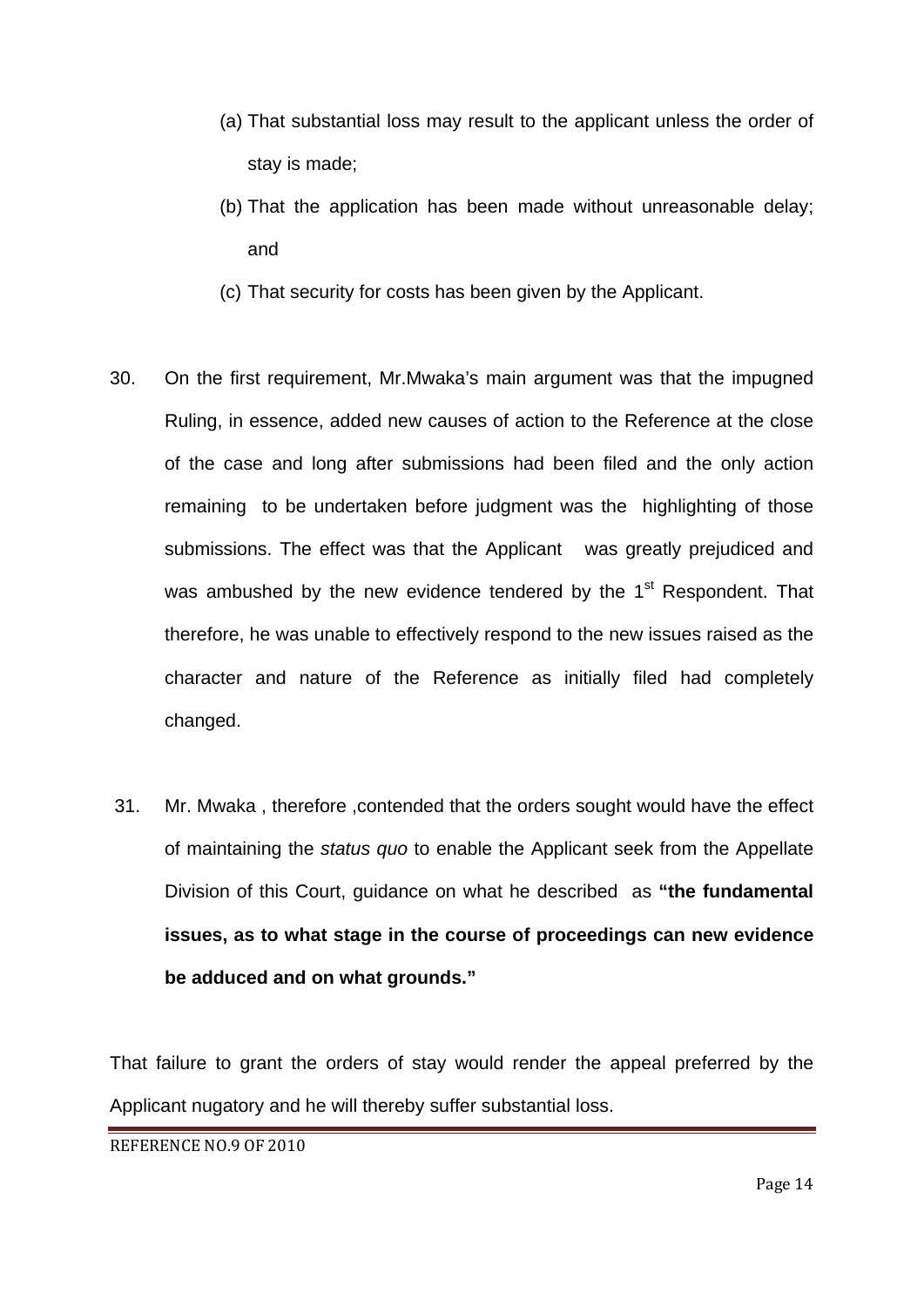- (a) That substantial loss may result to the applicant unless the order of stay is made;
- (b) That the application has been made without unreasonable delay; and
- (c) That security for costs has been given by the Applicant.
- 30. On the first requirement, Mr.Mwaka's main argument was that the impugned Ruling, in essence, added new causes of action to the Reference at the close of the case and long after submissions had been filed and the only action remaining to be undertaken before judgment was the highlighting of those submissions. The effect was that the Applicant was greatly prejudiced and was ambushed by the new evidence tendered by the 1<sup>st</sup> Respondent. That therefore, he was unable to effectively respond to the new issues raised as the character and nature of the Reference as initially filed had completely changed.
- 31. Mr. Mwaka , therefore ,contended that the orders sought would have the effect of maintaining the *status quo* to enable the Applicant seek from the Appellate Division of this Court, guidance on what he described as **"the fundamental issues, as to what stage in the course of proceedings can new evidence be adduced and on what grounds."**

That failure to grant the orders of stay would render the appeal preferred by the Applicant nugatory and he will thereby suffer substantial loss.

REFERENCE NO.9 OF 2010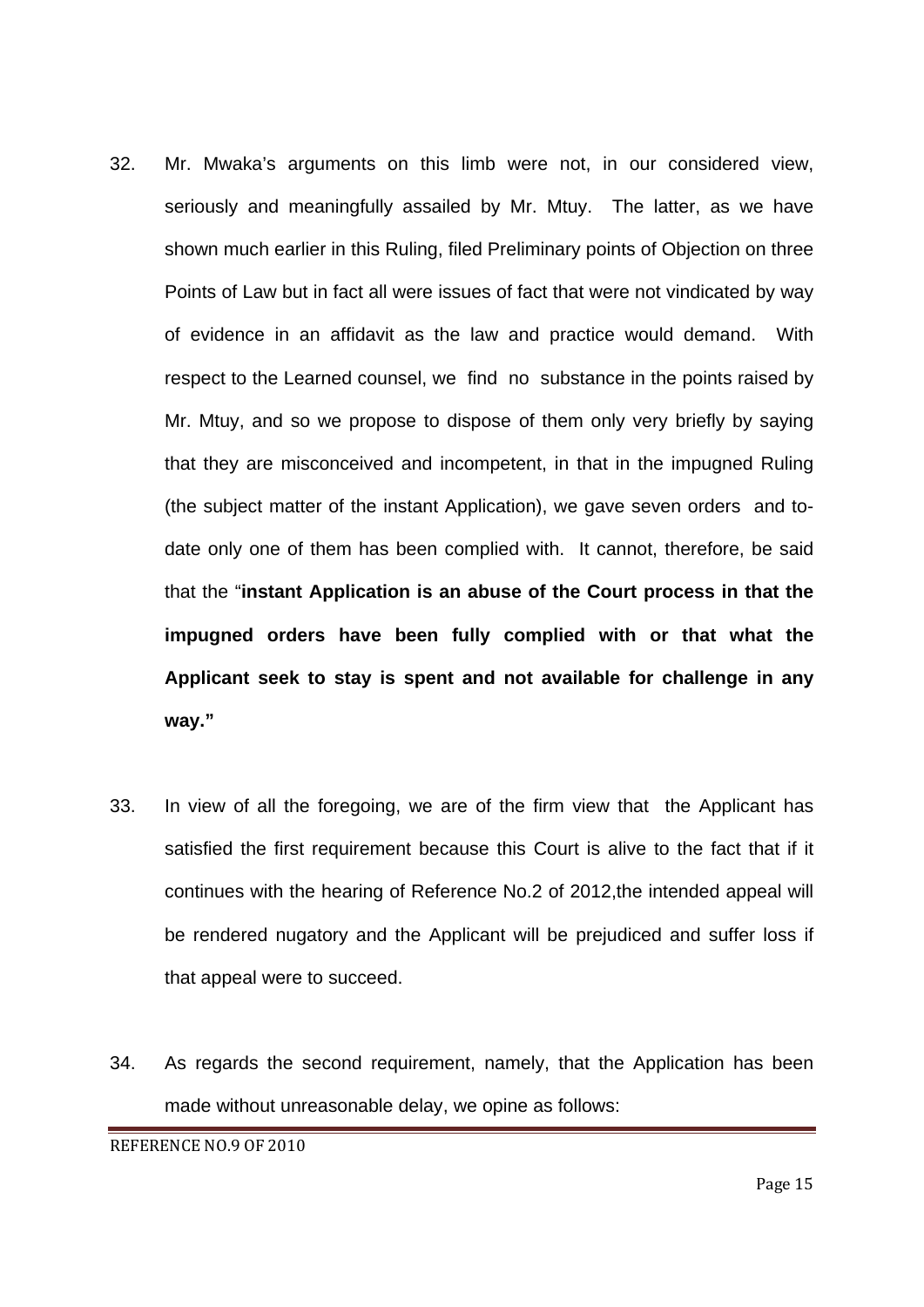- 32. Mr. Mwaka's arguments on this limb were not, in our considered view, seriously and meaningfully assailed by Mr. Mtuy. The latter, as we have shown much earlier in this Ruling, filed Preliminary points of Objection on three Points of Law but in fact all were issues of fact that were not vindicated by way of evidence in an affidavit as the law and practice would demand. With respect to the Learned counsel, we find no substance in the points raised by Mr. Mtuy, and so we propose to dispose of them only very briefly by saying that they are misconceived and incompetent, in that in the impugned Ruling (the subject matter of the instant Application), we gave seven orders and todate only one of them has been complied with. It cannot, therefore, be said that the "**instant Application is an abuse of the Court process in that the impugned orders have been fully complied with or that what the Applicant seek to stay is spent and not available for challenge in any way."**
- 33. In view of all the foregoing, we are of the firm view that the Applicant has satisfied the first requirement because this Court is alive to the fact that if it continues with the hearing of Reference No.2 of 2012,the intended appeal will be rendered nugatory and the Applicant will be prejudiced and suffer loss if that appeal were to succeed.
- 34. As regards the second requirement, namely, that the Application has been made without unreasonable delay, we opine as follows:

REFERENCE NO.9 OF 2010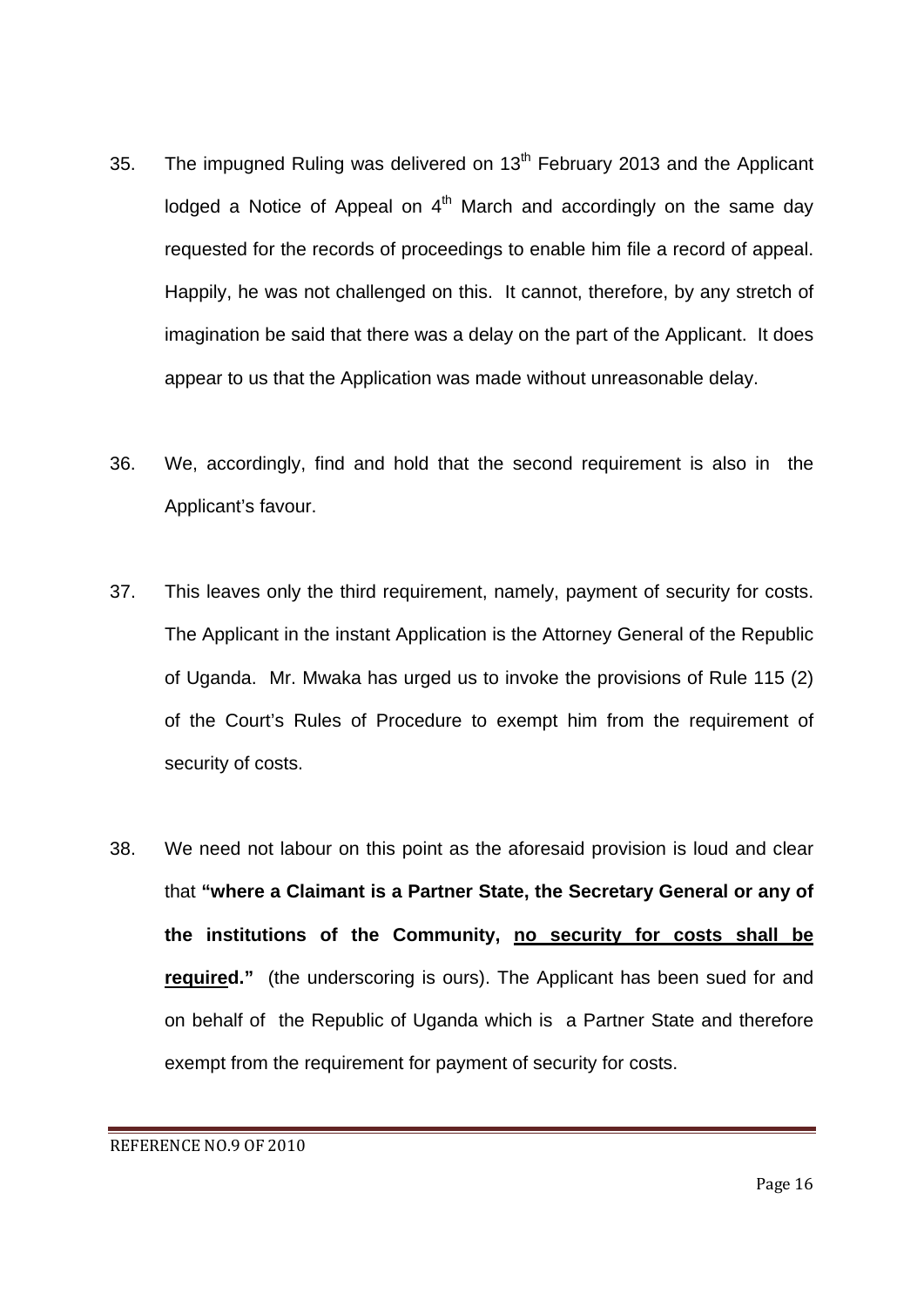- 35. The impugned Ruling was delivered on 13<sup>th</sup> February 2013 and the Applicant lodged a Notice of Appeal on  $4<sup>th</sup>$  March and accordingly on the same day requested for the records of proceedings to enable him file a record of appeal. Happily, he was not challenged on this. It cannot, therefore, by any stretch of imagination be said that there was a delay on the part of the Applicant. It does appear to us that the Application was made without unreasonable delay.
- 36. We, accordingly, find and hold that the second requirement is also in the Applicant's favour.
- 37. This leaves only the third requirement, namely, payment of security for costs. The Applicant in the instant Application is the Attorney General of the Republic of Uganda. Mr. Mwaka has urged us to invoke the provisions of Rule 115 (2) of the Court's Rules of Procedure to exempt him from the requirement of security of costs.
- 38. We need not labour on this point as the aforesaid provision is loud and clear that **"where a Claimant is a Partner State, the Secretary General or any of the institutions of the Community, no security for costs shall be required."** (the underscoring is ours). The Applicant has been sued for and on behalf of the Republic of Uganda which is a Partner State and therefore exempt from the requirement for payment of security for costs.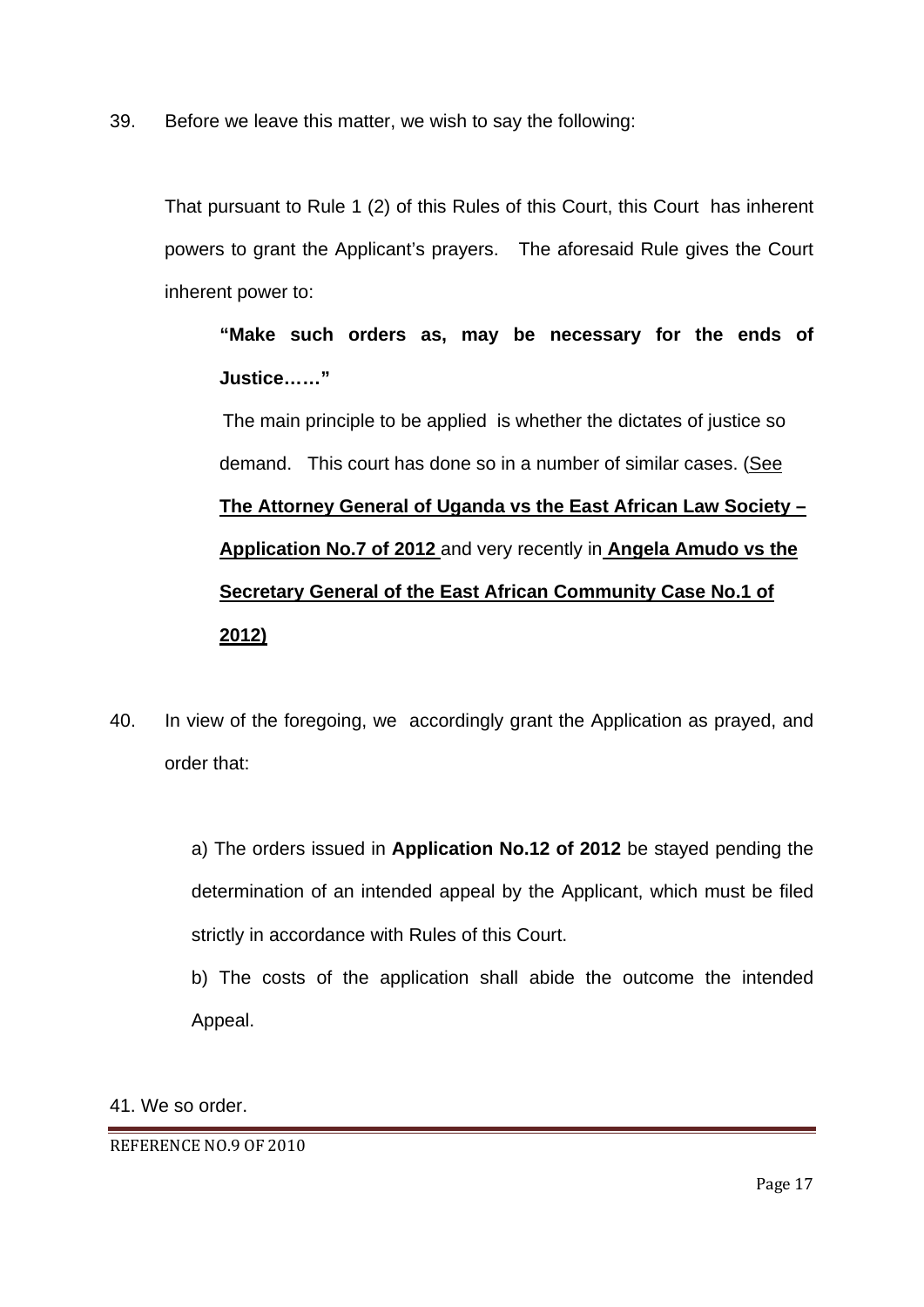39. Before we leave this matter, we wish to say the following:

That pursuant to Rule 1 (2) of this Rules of this Court, this Court has inherent powers to grant the Applicant's prayers. The aforesaid Rule gives the Court inherent power to:

**"Make such orders as, may be necessary for the ends of Justice……"** 

The main principle to be applied is whether the dictates of justice so demand. This court has done so in a number of similar cases. (See **The Attorney General of Uganda vs the East African Law Society – Application No.7 of 2012** and very recently in **Angela Amudo vs the Secretary General of the East African Community Case No.1 of 2012)** 

40. In view of the foregoing, we accordingly grant the Application as prayed, and order that:

> a) The orders issued in **Application No.12 of 2012** be stayed pending the determination of an intended appeal by the Applicant, which must be filed strictly in accordance with Rules of this Court.

> b) The costs of the application shall abide the outcome the intended Appeal.

41. We so order.